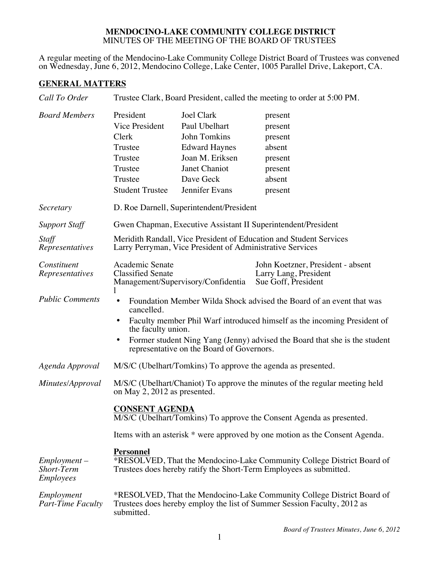## **MENDOCINO-LAKE COMMUNITY COLLEGE DISTRICT** MINUTES OF THE MEETING OF THE BOARD OF TRUSTEES

A regular meeting of the Mendocino-Lake Community College District Board of Trustees was convened on Wednesday, June 6, 2012, Mendocino College, Lake Center, 1005 Parallel Drive, Lakeport, CA.

## **GENERAL MATTERS**

| Call To Order                                    | Trustee Clark, Board President, called the meeting to order at 5:00 PM.                                                                                                                                                                                                                                                           |                                                                                                                                               |                                                                                    |  |
|--------------------------------------------------|-----------------------------------------------------------------------------------------------------------------------------------------------------------------------------------------------------------------------------------------------------------------------------------------------------------------------------------|-----------------------------------------------------------------------------------------------------------------------------------------------|------------------------------------------------------------------------------------|--|
| <b>Board Members</b>                             | President<br>Vice President<br>Clerk<br>Trustee<br>Trustee<br>Trustee<br>Trustee<br><b>Student Trustee</b>                                                                                                                                                                                                                        | <b>Joel Clark</b><br>Paul Ubelhart<br>John Tomkins<br><b>Edward Haynes</b><br>Joan M. Eriksen<br>Janet Chaniot<br>Dave Geck<br>Jennifer Evans | present<br>present<br>present<br>absent<br>present<br>present<br>absent<br>present |  |
| Secretary                                        | D. Roe Darnell, Superintendent/President                                                                                                                                                                                                                                                                                          |                                                                                                                                               |                                                                                    |  |
| <b>Support Staff</b>                             | Gwen Chapman, Executive Assistant II Superintendent/President                                                                                                                                                                                                                                                                     |                                                                                                                                               |                                                                                    |  |
| Staff<br>Representatives                         | Meridith Randall, Vice President of Education and Student Services<br>Larry Perryman, Vice President of Administrative Services                                                                                                                                                                                                   |                                                                                                                                               |                                                                                    |  |
| Constituent<br>Representatives                   | Academic Senate<br><b>Classified Senate</b><br>Management/Supervisory/Confidentia<br>1                                                                                                                                                                                                                                            |                                                                                                                                               | John Koetzner, President - absent<br>Larry Lang, President<br>Sue Goff, President  |  |
| <b>Public Comments</b>                           | Foundation Member Wilda Shock advised the Board of an event that was<br>٠<br>cancelled.<br>Faculty member Phil Warf introduced himself as the incoming President of<br>the faculty union.<br>Former student Ning Yang (Jenny) advised the Board that she is the student<br>$\bullet$<br>representative on the Board of Governors. |                                                                                                                                               |                                                                                    |  |
| Agenda Approval                                  | M/S/C (Ubelhart/Tomkins) To approve the agenda as presented.                                                                                                                                                                                                                                                                      |                                                                                                                                               |                                                                                    |  |
| Minutes/Approval                                 | M/S/C (Ubelhart/Chaniot) To approve the minutes of the regular meeting held<br>on May 2, 2012 as presented.                                                                                                                                                                                                                       |                                                                                                                                               |                                                                                    |  |
|                                                  | <b>CONSENT AGENDA</b><br>M/S/C (Ubelhart/Tomkins) To approve the Consent Agenda as presented.                                                                                                                                                                                                                                     |                                                                                                                                               |                                                                                    |  |
|                                                  | Items with an asterisk * were approved by one motion as the Consent Agenda.                                                                                                                                                                                                                                                       |                                                                                                                                               |                                                                                    |  |
| $Employment -$<br>Short-Term<br><i>Employees</i> | <b>Personnel</b><br>*RESOLVED, That the Mendocino-Lake Community College District Board of<br>Trustees does hereby ratify the Short-Term Employees as submitted.                                                                                                                                                                  |                                                                                                                                               |                                                                                    |  |
| Employment<br><b>Part-Time Faculty</b>           | *RESOLVED, That the Mendocino-Lake Community College District Board of<br>Trustees does hereby employ the list of Summer Session Faculty, 2012 as<br>submitted.                                                                                                                                                                   |                                                                                                                                               |                                                                                    |  |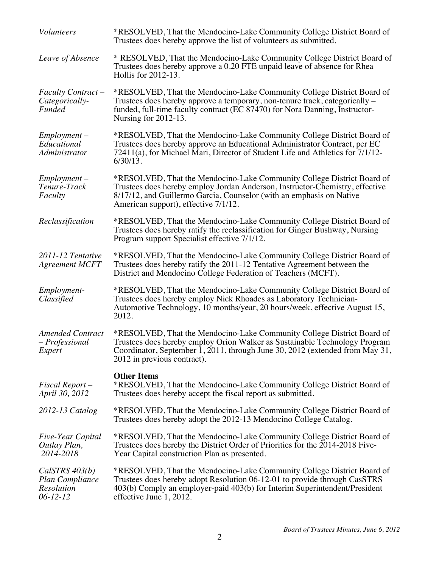| <b>Volunteers</b>                                                               | *RESOLVED, That the Mendocino-Lake Community College District Board of<br>Trustees does hereby approve the list of volunteers as submitted.                                                                                                                            |
|---------------------------------------------------------------------------------|------------------------------------------------------------------------------------------------------------------------------------------------------------------------------------------------------------------------------------------------------------------------|
| Leave of Absence                                                                | * RESOLVED, That the Mendocino-Lake Community College District Board of<br>Trustees does hereby approve a 0.20 FTE unpaid leave of absence for Rhea<br>Hollis for 2012-13.                                                                                             |
| <b>Faculty Contract –</b><br>Categorically-<br><b>Funded</b>                    | *RESOLVED, That the Mendocino-Lake Community College District Board of<br>Trustees does hereby approve a temporary, non-tenure track, categorically -<br>funded, full-time faculty contract (EC 87470) for Nora Danning, Instructor-<br>Nursing for $2012-13$ .        |
| $Employment -$<br>Educational<br>Administrator                                  | *RESOLVED, That the Mendocino-Lake Community College District Board of<br>Trustees does hereby approve an Educational Administrator Contract, per EC<br>72411(a), for Michael Mari, Director of Student Life and Athletics for 7/1/12-<br>$6/30/13$ .                  |
| $Employment -$<br>Tenure-Track<br>Faculty                                       | *RESOLVED, That the Mendocino-Lake Community College District Board of<br>Trustees does hereby employ Jordan Anderson, Instructor-Chemistry, effective<br>8/17/12, and Guillermo Garcia, Counselor (with an emphasis on Native<br>American support), effective 7/1/12. |
| Reclassification                                                                | *RESOLVED, That the Mendocino-Lake Community College District Board of<br>Trustees does hereby ratify the reclassification for Ginger Bushway, Nursing<br>Program support Specialist effective 7/1/12.                                                                 |
| 2011-12 Tentative<br><b>Agreement MCFT</b>                                      | *RESOLVED, That the Mendocino-Lake Community College District Board of<br>Trustees does hereby ratify the 2011-12 Tentative Agreement between the<br>District and Mendocino College Federation of Teachers (MCFT).                                                     |
| Employment-<br>Classified                                                       | *RESOLVED, That the Mendocino-Lake Community College District Board of<br>Trustees does hereby employ Nick Rhoades as Laboratory Technician-<br>Automotive Technology, 10 months/year, 20 hours/week, effective August 15,<br>2012.                                    |
| <b>Amended Contract</b><br>- Professional<br>Expert                             | *RESOLVED, That the Mendocino-Lake Community College District Board of<br>Trustees does hereby employ Orion Walker as Sustainable Technology Program<br>Coordinator, September 1, 2011, through June 30, 2012 (extended from May 31,<br>2012 in previous contract).    |
| Fiscal Report-<br>April 30, 2012                                                | <b>Other Items</b><br>*RESOLVED, That the Mendocino-Lake Community College District Board of<br>Trustees does hereby accept the fiscal report as submitted.                                                                                                            |
| $2012 - 13$ Catalog                                                             | *RESOLVED, That the Mendocino-Lake Community College District Board of<br>Trustees does hereby adopt the 2012-13 Mendocino College Catalog.                                                                                                                            |
| <i>Five-Year Capital</i><br>Outlay Plan,<br>2014-2018                           | *RESOLVED, That the Mendocino-Lake Community College District Board of<br>Trustees does hereby the District Order of Priorities for the 2014-2018 Five-<br>Year Capital construction Plan as presented.                                                                |
| CalSTRS 403(b)<br><b>Plan Compliance</b><br><b>Resolution</b><br>$06 - 12 - 12$ | *RESOLVED, That the Mendocino-Lake Community College District Board of<br>Trustees does hereby adopt Resolution 06-12-01 to provide through CasSTRS<br>403(b) Comply an employer-paid 403(b) for Interim Superintendent/President<br>effective June 1, 2012.           |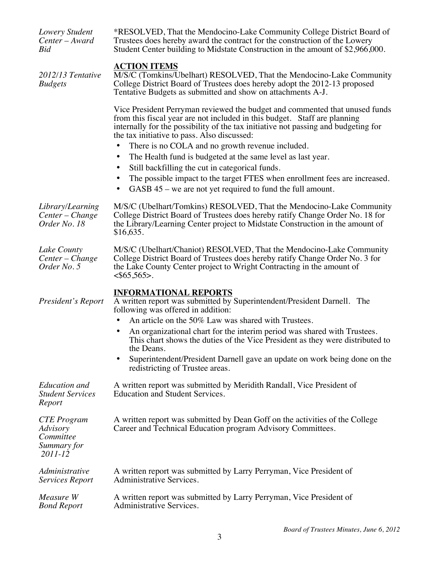| Lowery Student<br>Center - Award<br>Bid                        | *RESOLVED, That the Mendocino-Lake Community College District Board of<br>Trustees does hereby award the contract for the construction of the Lowery<br>Student Center building to Midstate Construction in the amount of \$2,966,000.                                                        |
|----------------------------------------------------------------|-----------------------------------------------------------------------------------------------------------------------------------------------------------------------------------------------------------------------------------------------------------------------------------------------|
| 2012/13 Tentative<br><b>Budgets</b>                            | <b>ACTION ITEMS</b><br>M/S/C (Tomkins/Ubelhart) RESOLVED, That the Mendocino-Lake Community<br>College District Board of Trustees does hereby adopt the 2012-13 proposed<br>Tentative Budgets as submitted and show on attachments A-J.                                                       |
|                                                                | Vice President Perryman reviewed the budget and commented that unused funds<br>from this fiscal year are not included in this budget. Staff are planning<br>internally for the possibility of the tax initiative not passing and budgeting for<br>the tax initiative to pass. Also discussed: |
|                                                                | There is no COLA and no growth revenue included.<br>$\bullet$                                                                                                                                                                                                                                 |
|                                                                | The Health fund is budgeted at the same level as last year.<br>$\bullet$                                                                                                                                                                                                                      |
|                                                                | Still backfilling the cut in categorical funds.                                                                                                                                                                                                                                               |
|                                                                | The possible impact to the target FTES when enrollment fees are increased.<br>GASB 45 – we are not yet required to fund the full amount.                                                                                                                                                      |
| Library/Learning<br>Center – Change<br>Order No. 18            | M/S/C (Ubelhart/Tomkins) RESOLVED, That the Mendocino-Lake Community<br>College District Board of Trustees does hereby ratify Change Order No. 18 for<br>the Library/Learning Center project to Midstate Construction in the amount of<br>\$16,635.                                           |
| Lake County<br>Center – Change<br>Order No. 5                  | M/S/C (Ubelhart/Chaniot) RESOLVED, That the Mendocino-Lake Community<br>College District Board of Trustees does hereby ratify Change Order No. 3 for<br>the Lake County Center project to Wright Contracting in the amount of<br>$565,565$ .                                                  |
|                                                                | <b>INFORMATIONAL REPORTS</b>                                                                                                                                                                                                                                                                  |
| President's Report                                             | A written report was submitted by Superintendent/President Darnell. The<br>following was offered in addition:                                                                                                                                                                                 |
|                                                                | An article on the 50% Law was shared with Trustees.                                                                                                                                                                                                                                           |
|                                                                | An organizational chart for the interim period was shared with Trustees.<br>This chart shows the duties of the Vice President as they were distributed to<br>the Deans.                                                                                                                       |
|                                                                | Superintendent/President Darnell gave an update on work being done on the<br>redistricting of Trustee areas.                                                                                                                                                                                  |
| <b>Education</b> and<br><b>Student Services</b><br>Report      | A written report was submitted by Meridith Randall, Vice President of<br><b>Education and Student Services.</b>                                                                                                                                                                               |
| CTE Program<br>Advisory<br>Committee<br>Summary for<br>2011-12 | A written report was submitted by Dean Goff on the activities of the College<br>Career and Technical Education program Advisory Committees.                                                                                                                                                   |
| Administrative<br>Services Report                              | A written report was submitted by Larry Perryman, Vice President of<br>Administrative Services.                                                                                                                                                                                               |
| Measure W<br><b>Bond Report</b>                                | A written report was submitted by Larry Perryman, Vice President of<br>Administrative Services.                                                                                                                                                                                               |